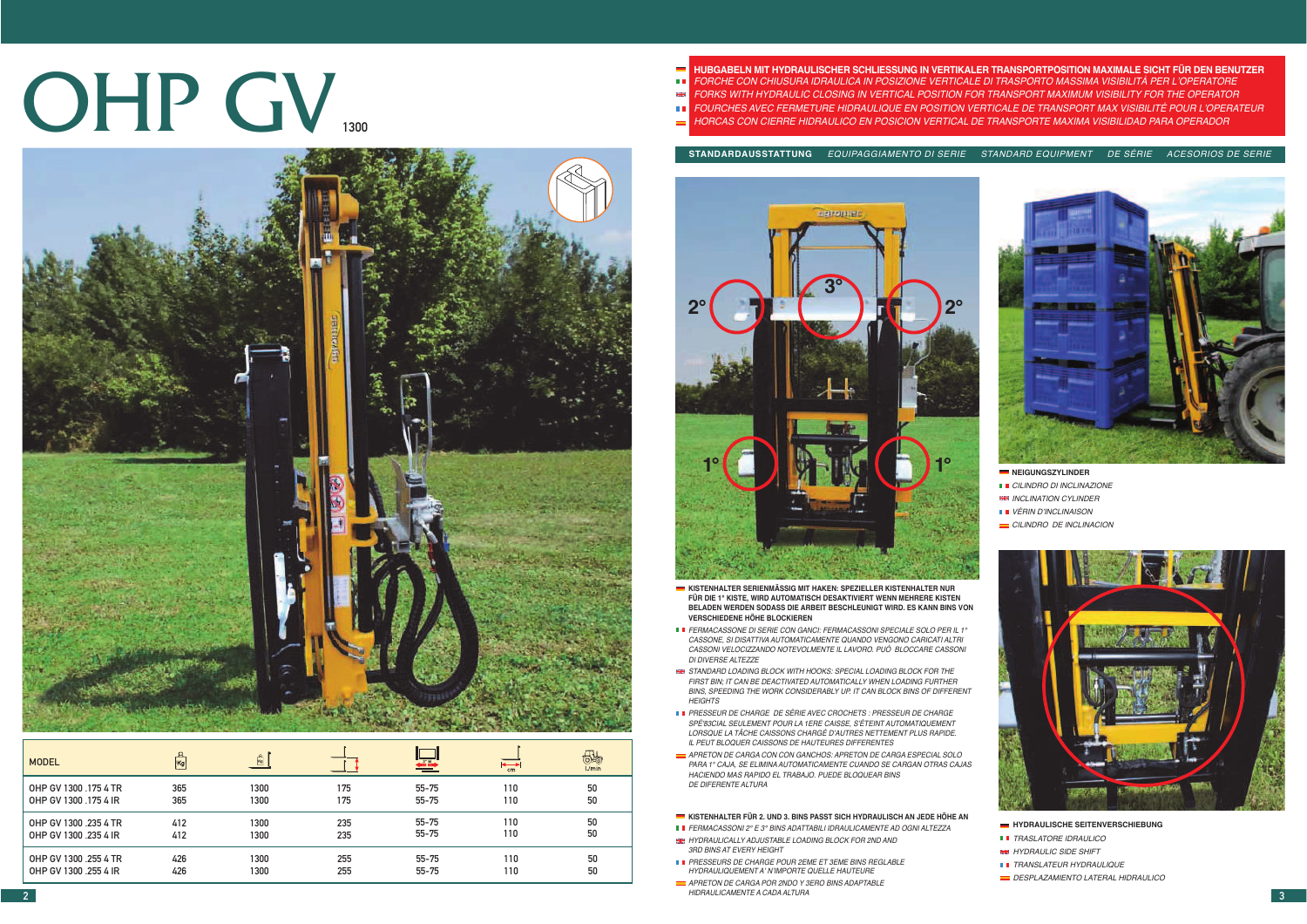# OHP GV



| <b>MODEL</b>          | Kg  | $\frac{p}{ x_0 }$ |     | tai ils   | $\overline{\phantom{a}^+_{\rm cm}}$ | 55<br>L/min |
|-----------------------|-----|-------------------|-----|-----------|-------------------------------------|-------------|
| OHP GV 1300 .175 4 TR | 365 | 1300              | 175 | $55 - 75$ | 110                                 | 50          |
| OHP GV 1300 .175 4 IR | 365 | 1300              | 175 | $55 - 75$ | 110                                 | 50          |
| OHP GV 1300 .235 4 TR | 412 | 1300              | 235 | $55 - 75$ | 110                                 | 50          |
| OHP GV 1300 235 4 IR  | 412 | 1300              | 235 | $55 - 75$ | 110                                 | 50          |
| OHP GV 1300 .255 4 TR | 426 | 1300              | 255 | 55-75     | 110                                 | 50          |
| OHP GV 1300 .255 4 IR | 426 | 1300              | 255 | 55-75     | 110                                 | 50          |

- HUBGABELN MIT HYDRAULISCHER SCHLIESSUNG IN VERTIKALER TRANSPORTPOSITION MAXIMALE SICHT FÜR DEN BENUTZER<br>FORKS WITH HYDRAULIC CLOSING IN VERTICAL POSITION FOR TRANSPORTO MASSIMA VISIBILITÀ PER L'OPERATORE<br>FORKS WITH HYDR
	-

**STANDARDAUSSTATTUNG** EQUIPAGGIAMENTO DI SERIE STANDARD EQUIPMENT DE SÉRIE ACESORIOS DE SERIE



- **KISTENHALTER SERIENMÄSSIG MIT HAKEN: SPEZIELLER KISTENHALTER NUR FÜR DIE 1° KISTE, WIRD AUTOMATISCH DESAKTIVIERT WENN MEHRERE KISTEN BELADEN WERDEN SODASS DIE ARBEIT BESCHLEUNIGT WIRD. ES KANN BINS VON VERSCHIEDENE HÖHE BLOCKIEREN**
- FERMACASSONE DI SERIE CON GANCI: FERMACASSONI SPECIALE SOLO PER IL 1° CASSONE, SI DISATTIVA AUTOMATICAMENTE QUANDO VENGONO CARICATI ALTRI CASSONI VELOCIZZANDO NOTEVOLMENTE IL LAVORO. PUÒ BLOCCARE CASSONI DI DIVERSE ALTEZZE
- STANDARD LOADING BLOCK WITH HOOKS: SPECIAL LOADING BLOCK FOR THE FIRST BIN; IT CAN BE DEACTIVATED AUTOMATICALLY WHEN LOADING FURTHER BINS, SPEEDING THE WORK CONSIDERABLY UP. IT CAN BLOCK BINS OF DIFFERENT **HEIGHTS**
- PRESSEUR DE CHARGE DE SÉRIE AVEC CROCHETS : PRESSEUR DE CHARGE SPÉ'83CIAL SEULEMENT POUR LA 1ERE CAISSE, S'ÉTEINT AUTOMATIQUEMENT LORSQUE LA TÂCHE CAISSONS CHARGÉ D'AUTRES NETTEMENT PLUS RAPIDE. IL PEUT BLOQUER CAISSONS DE HAUTEURES DIFFERENTES
- APRETON DE CARGA CON CON GANCHOS: APRETON DE CARGA ESPECIAL SOLO PARA 1° CAJA, SE ELIMINA AUTOMATICAMENTE CUANDO SE CARGAN OTRAS CAJAS HACIENDO MAS RAPIDO EL TRABAJO. PUEDE BLOQUEAR BINS DE DIFERENTE ALTURA

## **KISTENHALTER FÜR 2. UND 3. BINS PASST SICH HYDRAULISCH AN JEDE HÖHE AN**

- FERMACASSONI 2° E 3° BINS ADATTABILI IDRAULICAMENTE AD OGNI ALTEZZA
- **HE HYDRAULICALLY ADJUSTABLE LOADING BLOCK FOR 2ND AND** 3RD BINS AT EVERY HEIGHT
- PRESSEURS DE CHARGE POUR 2EME ET 3EME BINS REGLABLE HYDRAULIQUEMENT A' N'IMPORTE QUELLE HAUTEURE
- APRETON DE CARGA POR 2NDO Y 3ERO BINS ADAPTABLE HIDRAULICAMENTE A CADA ALTURAPIDRAULUCAMENTE A CADA ALI UTA (2002) 2012 12:20 AND ALI UTA (2003) 2012 12:20 AND ALI UTA (300 AND ALI UTA (300 AND ALI UTA (300 AND ALI UTA (300 AND ALI UTA (300 AND ALI UTA (300 AND ALI UTA (300 AND ALI UTA (300 AND ALI



- **NEIGUNGSZYLINDER**
- CILINDRO DI INCLINAZIONE
- **HH INCLINATION CYLINDER**
- VÉRIN D'INCLINAISON
- CILINDRO DE INCLINACION



### $HYPRAULISCHE SEITENVERSCHIEBUNG$

- **TRASLATORE IDRAULICO**
- HYDRAULIC SIDE SHIFT
- TRANSLATEUR HYDRAULIQUE
- DESPLAZAMIENTO LATERAL HIDRAULICO